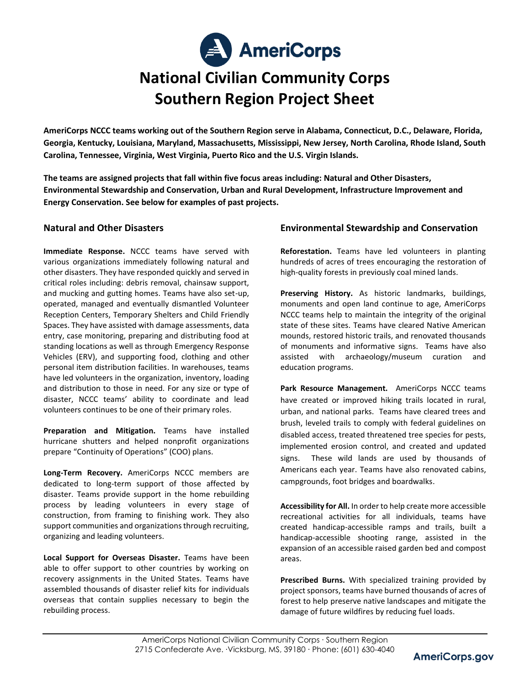# **AmeriCorps National Civilian Community Corps Southern Region Project Sheet**

**AmeriCorps NCCC teams working out of the Southern Region serve in Alabama, Connecticut, D.C., Delaware, Florida, Georgia, Kentucky, Louisiana, Maryland, Massachusetts, Mississippi, New Jersey, North Carolina, Rhode Island, South Carolina, Tennessee, Virginia, West Virginia, Puerto Rico and the U.S. Virgin Islands.**

**The teams are assigned projects that fall within five focus areas including: Natural and Other Disasters, Environmental Stewardship and Conservation, Urban and Rural Development, Infrastructure Improvement and Energy Conservation. See below for examples of past projects.**

# **Natural and Other Disasters**

**Immediate Response.** NCCC teams have served with various organizations immediately following natural and other disasters. They have responded quickly and served in critical roles including: debris removal, chainsaw support, and mucking and gutting homes. Teams have also set-up, operated, managed and eventually dismantled Volunteer Reception Centers, Temporary Shelters and Child Friendly Spaces. They have assisted with damage assessments, data entry, case monitoring, preparing and distributing food at standing locations as well as through Emergency Response Vehicles (ERV), and supporting food, clothing and other personal item distribution facilities. In warehouses, teams have led volunteers in the organization, inventory, loading and distribution to those in need. For any size or type of disaster, NCCC teams' ability to coordinate and lead volunteers continues to be one of their primary roles.

**Preparation and Mitigation.** Teams have installed hurricane shutters and helped nonprofit organizations prepare "Continuity of Operations" (COO) plans.

**Long-Term Recovery.** AmeriCorps NCCC members are dedicated to long-term support of those affected by disaster. Teams provide support in the home rebuilding process by leading volunteers in every stage of construction, from framing to finishing work. They also support communities and organizations through recruiting, organizing and leading volunteers.

**Local Support for Overseas Disaster.** Teams have been able to offer support to other countries by working on recovery assignments in the United States. Teams have assembled thousands of disaster relief kits for individuals overseas that contain supplies necessary to begin the rebuilding process.

# **Environmental Stewardship and Conservation**

**Reforestation.** Teams have led volunteers in planting hundreds of acres of trees encouraging the restoration of high-quality forests in previously coal mined lands.

**Preserving History.** As historic landmarks, buildings, monuments and open land continue to age, AmeriCorps NCCC teams help to maintain the integrity of the original state of these sites. Teams have cleared Native American mounds, restored historic trails, and renovated thousands of monuments and informative signs. Teams have also assisted with archaeology/museum curation and education programs.

Park Resource Management. AmeriCorps NCCC teams have created or improved hiking trails located in rural, urban, and national parks. Teams have cleared trees and brush, leveled trails to comply with federal guidelines on disabled access, treated threatened tree species for pests, implemented erosion control, and created and updated signs. These wild lands are used by thousands of Americans each year. Teams have also renovated cabins, campgrounds, foot bridges and boardwalks.

**Accessibility for All.** In order to help create more accessible recreational activities for all individuals, teams have created handicap-accessible ramps and trails, built a handicap-accessible shooting range, assisted in the expansion of an accessible raised garden bed and compost areas.

**Prescribed Burns.** With specialized training provided by project sponsors, teams have burned thousands of acres of forest to help preserve native landscapes and mitigate the damage of future wildfires by reducing fuel loads.